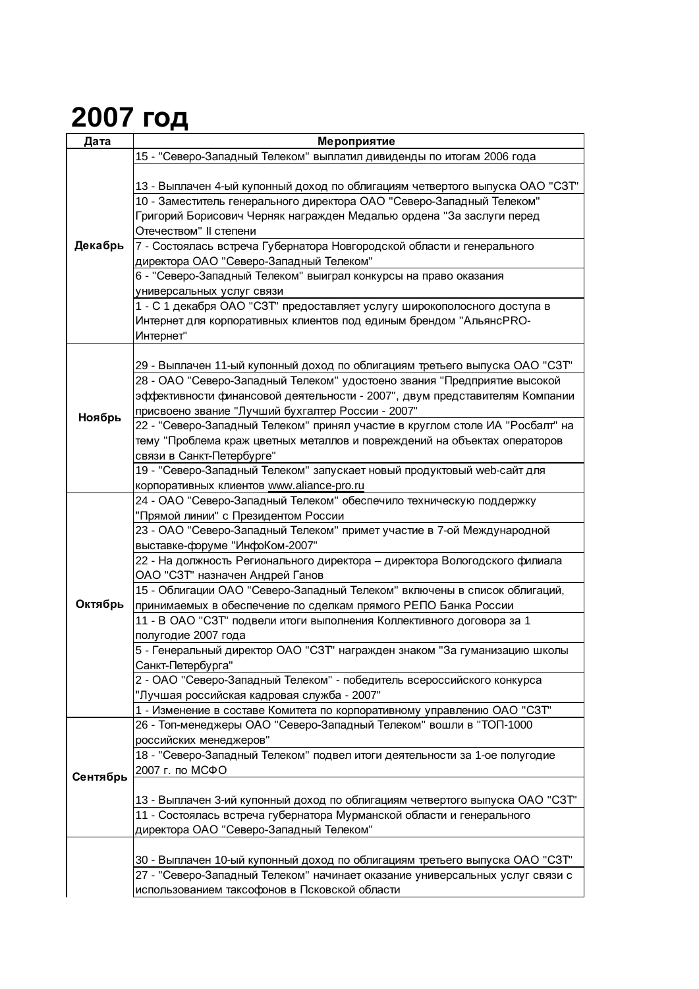## **2007 год**

| Дата     | Мероприятие                                                                   |
|----------|-------------------------------------------------------------------------------|
|          | 15 - "Северо-Западный Телеком" выплатил дивиденды по итогам 2006 года         |
|          |                                                                               |
|          | 13 - Выплачен 4-ый купонный доход по облигациям четвертого выпуска ОАО "СЗТ"  |
|          | 10 - Заместитель генерального директора ОАО "Северо-Западный Телеком"         |
|          |                                                                               |
| Декабрь  | Григорий Борисович Черняк награжден Медалью ордена "За заслуги перед          |
|          | Отечеством" II степени                                                        |
|          | 7 - Состоялась встреча Губернатора Новгородской области и генерального        |
|          | директора ОАО "Северо-Западный Телеком"                                       |
|          | 6 - "Северо-Западный Телеком" выиграл конкурсы на право оказания              |
|          | универсальных услуг связи                                                     |
|          | 1 - С 1 декабря ОАО "СЗТ" предоставляет услугу широкополосного доступа в      |
|          | Интернет для корпоративных клиентов под единым брендом "АльянсPRO-            |
|          | Интернет"                                                                     |
|          |                                                                               |
|          |                                                                               |
|          | 29 - Выплачен 11-ый купонный доход по облигациям третьего выпуска ОАО "СЗТ"   |
|          | 28 - ОАО "Северо-Западный Телеком" удостоено звания "Предприятие высокой      |
|          | эффективности финансовой деятельности - 2007", двум представителям Компании   |
| Ноябрь   | присвоено звание "Лучший бухгалтер России - 2007"                             |
|          | 22 - "Северо-Западный Телеком" принял участие в круглом столе ИА "Росбалт" на |
|          | тему "Проблема краж цветных металлов и повреждений на объектах операторов     |
|          | связи в Санкт-Петербурге"                                                     |
|          | 19 - "Северо-Западный Телеком" запускает новый продуктовый web-сайт для       |
|          | корпоративных клиентов www.aliance-pro.ru                                     |
|          | 24 - ОАО "Северо-Западный Телеком" обеспечило техническую поддержку           |
|          | "Прямой линии" с Президентом России                                           |
|          |                                                                               |
|          | 23 - ОАО "Северо-Западный Телеком" примет участие в 7-ой Международной        |
|          | выставке-форуме "ИнфоКом-2007"                                                |
|          | 22 - На должность Регионального директора - директора Вологодского филиала    |
|          | ОАО "СЗТ" назначен Андрей Ганов                                               |
|          | 15 - Облигации ОАО "Северо-Западный Телеком" включены в список облигаций,     |
| Октябрь  | принимаемых в обеспечение по сделкам прямого РЕПО Банка России                |
|          | 11 - В ОАО "СЗТ" подвели итоги выполнения Коллективного договора за 1         |
|          | полугодие 2007 года                                                           |
|          | 5 - Генеральный директор ОАО "СЗТ" награжден знаком "За гуманизацию школы     |
|          | Санкт-Петербурга"                                                             |
|          | 2 - ОАО "Северо-Западный Телеком" - победитель всероссийского конкурса        |
|          | "Лучшая российская кадровая служба - 2007"                                    |
|          | 1 - Изменение в составе Комитета по корпоративному управлению ОАО "СЗТ"       |
|          | 26 - Топ-менеджеры ОАО "Северо-Западный Телеком" вошли в "ТОП-1000            |
|          |                                                                               |
|          | российских менеджеров"                                                        |
|          | 18 - "Северо-Западный Телеком" подвел итоги деятельности за 1-ое полугодие    |
| Сентябрь | 2007 г. по МСФО                                                               |
|          |                                                                               |
|          | 13 - Выплачен 3-ий купонный доход по облигациям четвертого выпуска ОАО "СЗТ"  |
|          | 11 - Состоялась встреча губернатора Мурманской области и генерального         |
|          | директора ОАО "Северо-Западный Телеком"                                       |
|          |                                                                               |
|          | 30 - Выплачен 10-ый купонный доход по облигациям третьего выпуска ОАО "СЗТ"   |
|          | 27 - "Северо-Западный Телеком" начинает оказание универсальных услуг связи с  |
|          | использованием таксофонов в Псковской области                                 |
|          |                                                                               |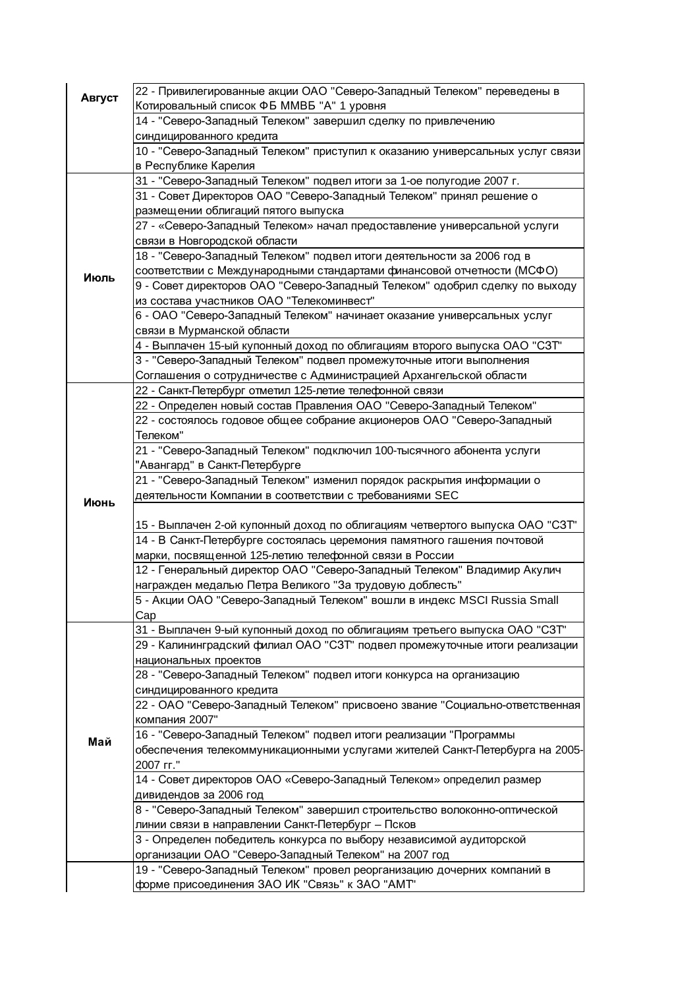| Август | 22 - Привилегированные акции ОАО "Северо-Западный Телеком" переведены в<br>Котировальный список ФБ ММВБ "А" 1 уровня |
|--------|----------------------------------------------------------------------------------------------------------------------|
|        | 14 - "Северо-Западный Телеком" завершил сделку по привлечению                                                        |
|        | синдицированного кредита                                                                                             |
|        | 10 - "Северо-Западный Телеком" приступил к оказанию универсальных услуг связи                                        |
|        | в Республике Карелия                                                                                                 |
|        | 31 - "Северо-Западный Телеком" подвел итоги за 1-ое полугодие 2007 г.                                                |
|        | 31 - Совет Директоров ОАО "Северо-Западный Телеком" принял решение о                                                 |
|        | размещении облигаций пятого выпуска                                                                                  |
|        | 27 - «Северо-Западный Телеком» начал предоставление универсальной услуги                                             |
|        | связи в Новгородской области                                                                                         |
|        | 18 - "Северо-Западный Телеком" подвел итоги деятельности за 2006 год в                                               |
|        | соответствии с Международными стандартами финансовой отчетности (МСФО)                                               |
| Июль   | 9 - Совет директоров ОАО "Северо-Западный Телеком" одобрил сделку по выходу                                          |
|        | из состава участников ОАО "Телекоминвест"                                                                            |
|        | 6 - ОАО "Северо-Западный Телеком" начинает оказание универсальных услуг                                              |
|        | связи в Мурманской области                                                                                           |
|        | 4 - Выплачен 15-ый купонный доход по облигациям второго выпуска ОАО "СЗТ"                                            |
|        | 3 - "Северо-Западный Телеком" подвел промежуточные итоги выполнения                                                  |
|        | Соглашения о сотрудничестве с Администрацией Архангельской области                                                   |
|        | 22 - Санкт-Петербург отметил 125-летие телефонной связи                                                              |
|        | 22 - Определен новый состав Правления ОАО "Северо-Западный Телеком"                                                  |
|        | 22 - состоялось годовое общее собрание акционеров ОАО "Северо-Западный                                               |
|        | Телеком"                                                                                                             |
|        | 21 - "Северо-Западный Телеком" подключил 100-тысячного абонента услуги                                               |
|        | "Авангард" в Санкт-Петербурге                                                                                        |
|        | 21 - "Северо-Западный Телеком" изменил порядок раскрытия информации о                                                |
| Июнь   | деятельности Компании в соответствии с требованиями SEC                                                              |
|        |                                                                                                                      |
|        | 15 - Выплачен 2-ой купонный доход по облигациям четвертого выпуска ОАО "СЗТ"                                         |
|        | 14 - В Санкт-Петербурге состоялась церемония памятного гашения почтовой                                              |
|        | марки, посвященной 125-летию телефонной связи в России                                                               |
|        | 12 - Генеральный директор ОАО "Северо-Западный Телеком" Владимир Акулич                                              |
|        | награжден медалью Петра Великого "За трудовую доблесть"                                                              |
|        | 5 - Акции ОАО "Северо-Западный Телеком" вошли в индекс MSCI Russia Small                                             |
|        | Cap                                                                                                                  |
|        | 31 - Выплачен 9-ый купонный доход по облигациям третьего выпуска ОАО "СЗТ"                                           |
|        | 29 - Калининградский филиал OAO "C3T" подвел промежуточные итоги реализации                                          |
|        | национальных проектов                                                                                                |
|        | 28 - "Северо-Западный Телеком" подвел итоги конкурса на организацию                                                  |
|        | синдицированного кредита                                                                                             |
|        | 22 - ОАО "Северо-Западный Телеком" присвоено звание "Социально-ответственная                                         |
|        | компания 2007"                                                                                                       |
| Май    | 16 - "Северо-Западный Телеком" подвел итоги реализации "Программы                                                    |
|        | обеспечения телекоммуникационными услугами жителей Санкт-Петербурга на 2005-                                         |
|        | 2007 гг."                                                                                                            |
|        | 14 - Совет директоров ОАО «Северо-Западный Телеком» определил размер                                                 |
|        | дивидендов за 2006 год                                                                                               |
|        | 8 - "Северо-Западный Телеком" завершил строительство волоконно-оптической                                            |
|        | линии связи в направлении Санкт-Петербург - Псков                                                                    |
|        | 3 - Определен победитель конкурса по выбору независимой аудиторской                                                  |
|        | организации ОАО "Северо-Западный Телеком" на 2007 год                                                                |
|        | 19 - "Северо-Западный Телеком" провел реорганизацию дочерних компаний в                                              |
|        | форме присоединения ЗАО ИК "Связь" к ЗАО "АМТ"                                                                       |